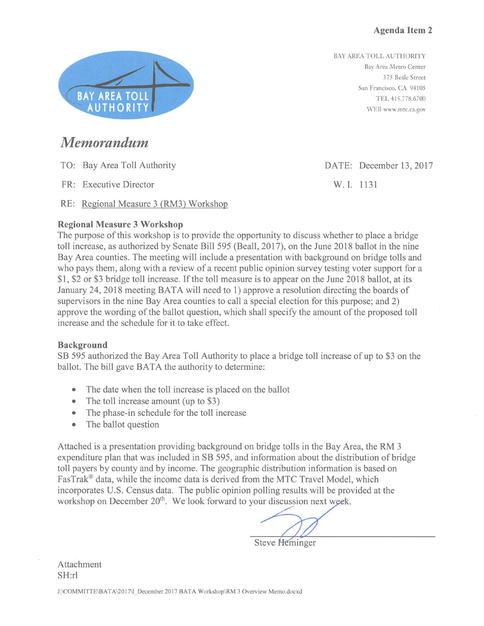BAY AREA TOLL AUTHORITY Bay Area Metro Center 375 Beale Street San Francisco, CA 94105 TEL 415.778.6700 WEB www.mtc.ca.gov



### *Memorandum*

TO: Bay Area Toll Authority

FR: Executive Director

RE: Regional Measure 3 (RM3) Workshop

#### **Regional Measure 3 Workshop**

The purpose of this workshop is to provide the opportunity to discuss whether to place a bridge toll increase, as authorized by Senate Bill 595 (Beall, 2017), on the June 2018 ballot in the nine Bay Area counties. The meeting will include a presentation with background on bridge tolls and who pays them, along with a review of a recent public opinion survey testing voter support for a \$1, \$2 or \$3 bridge toll increase. If the toll measure is to appear on the June 2018 ballot, at its January 24, 2018 meeting BATA will need to 1) approve a resolution directing the boards of supervisors in the nine Bay Area counties to call a special election for this purpose; and 2) approve the wording of the ballot question, which shall specify the amount of the proposed toll increase and the schedule for it to take effect.

#### **Background**

SB 595 authorized the Bay Area Toll Authority to place a bridge toll increase of up to \$3 on the ballot. The bill gave BATA the authority to determine:

- The date when the toll increase is placed on the ballot
- The toll increase amount (up to \$3)
- The phase-in schedule for the toll increase
- The ballot question

Attached is a presentation providing background on bridge tolls in the Bay Area, the RM 3 expenditure plan that was included in SB 595, and information about the distribution of bridge toll payers by county and by income. The geographic distribution information is based on FasTrak® data, while the income data is derived from the MTC Travel Model, which incorporates U.S. Census data. The public opinion polling results will be provided at the workshop on December 20<sup>th</sup>. We look forward to your discussion next week.

**Steve Heminger** 

Attachment SH:rl

J:\COMMITTE\BATA\2017\1\_December 2017 BATA Workshop\RM 3 Overview Memo.docxd

DATE: December 13, 2017

W.I. 1131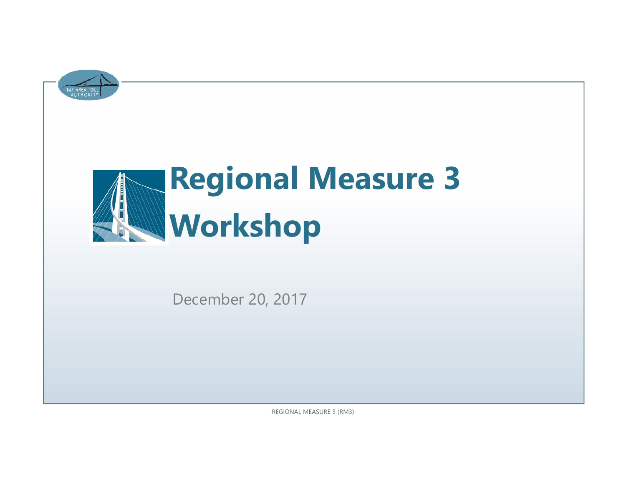

# **Regional Measure 3 Workshop**

December 20, 2017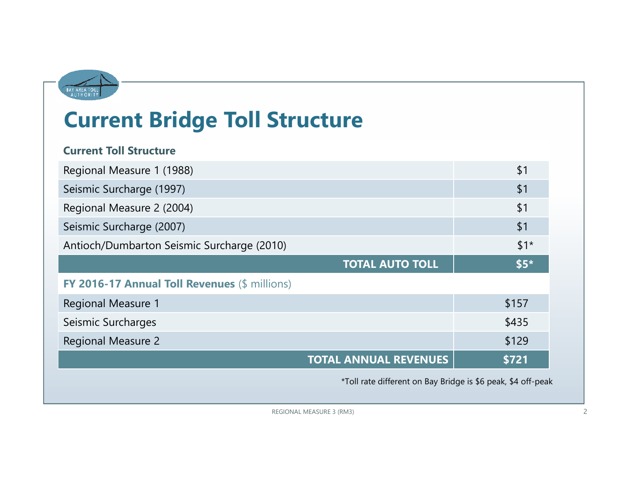

# **Current Bridge Toll Structure**

#### **Current Toll Structure**

| Regional Measure 1 (1988)                     | \$1   |
|-----------------------------------------------|-------|
| Seismic Surcharge (1997)                      | \$1   |
| Regional Measure 2 (2004)                     | \$1   |
| Seismic Surcharge (2007)                      | \$1   |
| Antioch/Dumbarton Seismic Surcharge (2010)    | $$1*$ |
| <b>TOTAL AUTO TOLL</b>                        | $$5*$ |
| FY 2016-17 Annual Toll Revenues (\$ millions) |       |
| <b>Regional Measure 1</b>                     | \$157 |
| Seismic Surcharges                            | \$435 |
| <b>Regional Measure 2</b>                     | \$129 |
| <b>TOTAL ANNUAL REVENUES</b>                  | \$721 |

\*Toll rate different on Bay Bridge is \$6 peak, \$4 off-peak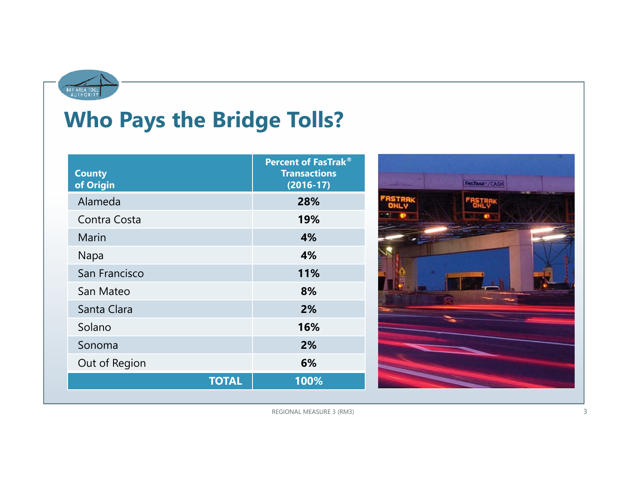

# **Who Pays the Bridge Tolls?**

| <b>County</b><br>of Origin | <b>Percent of FasTrak®</b><br><b>Transactions</b><br>$(2016-17)$ |
|----------------------------|------------------------------------------------------------------|
| Alameda                    | 28%                                                              |
| Contra Costa               | 19%                                                              |
| Marin                      | 4%                                                               |
| Napa                       | 4%                                                               |
| San Francisco              | 11%                                                              |
| San Mateo                  | 8%                                                               |
| Santa Clara                | 2%                                                               |
| Solano                     | 16%                                                              |
| Sonoma                     | 2%                                                               |
| Out of Region              | 6%                                                               |
| <b>TOTAL</b>               | 100%                                                             |

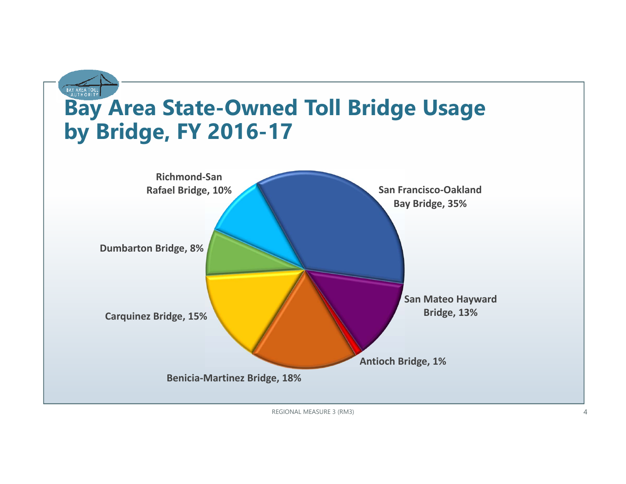

REGIONAL MEASURE 3 (RM3) 4 and 20 and 20 and 20 and 20 and 20 and 20 and 20 and 20 and 20 and 20 and 20 and 20 and 20 and 20 and 20 and 20 and 20 and 20 and 20 and 20 and 20 and 20 and 20 and 20 and 20 and 20 and 20 and 20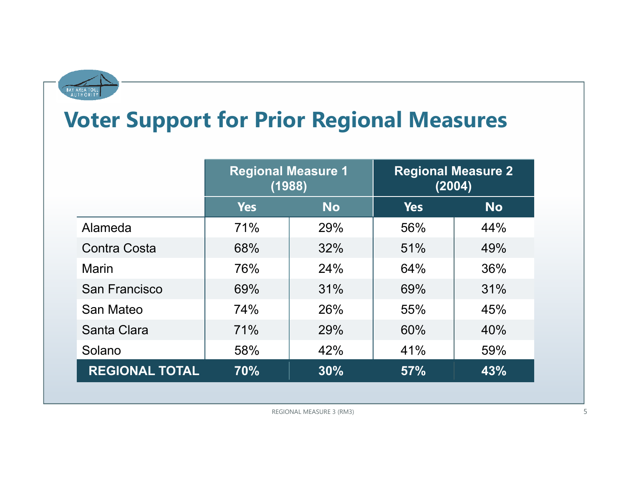

# **Voter Support for Prior Regional Measures**

|                       | <b>Regional Measure 1</b><br>(1988) |           | <b>Regional Measure 2</b><br>(2004) |           |
|-----------------------|-------------------------------------|-----------|-------------------------------------|-----------|
|                       | <b>Yes</b>                          | <b>No</b> | <b>Yes</b>                          | <b>No</b> |
| Alameda               | 71%                                 | 29%       | 56%                                 | 44%       |
| <b>Contra Costa</b>   | 68%                                 | 32%       | 51%                                 | 49%       |
| Marin                 | 76%                                 | 24%       | 64%                                 | 36%       |
| San Francisco         | 69%                                 | 31%       | 69%                                 | 31%       |
| San Mateo             | 74%                                 | 26%       | 55%                                 | 45%       |
| Santa Clara           | 71%                                 | 29%       | 60%                                 | 40%       |
| Solano                | 58%                                 | 42%       | 41%                                 | 59%       |
| <b>REGIONAL TOTAL</b> | 70%                                 | 30%       | 57%                                 | 43%       |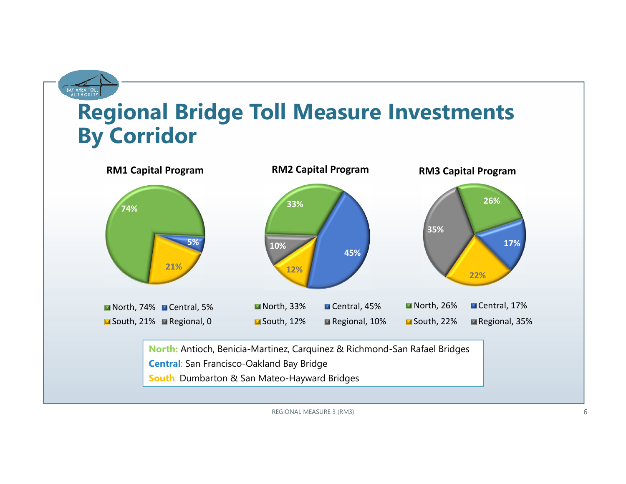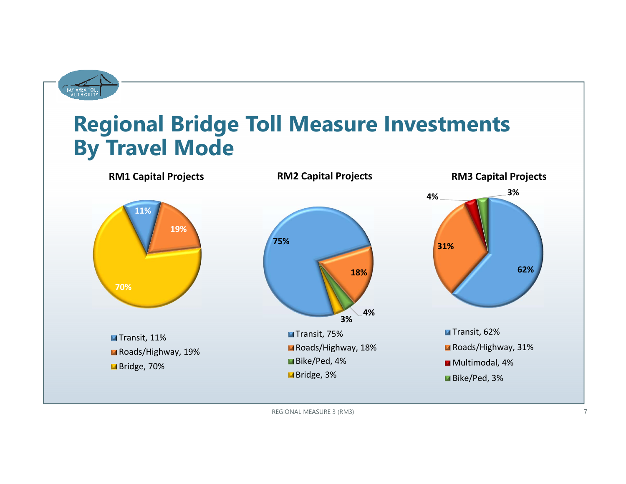

### **Regional Bridge Toll Measure Investments By Travel Mode**

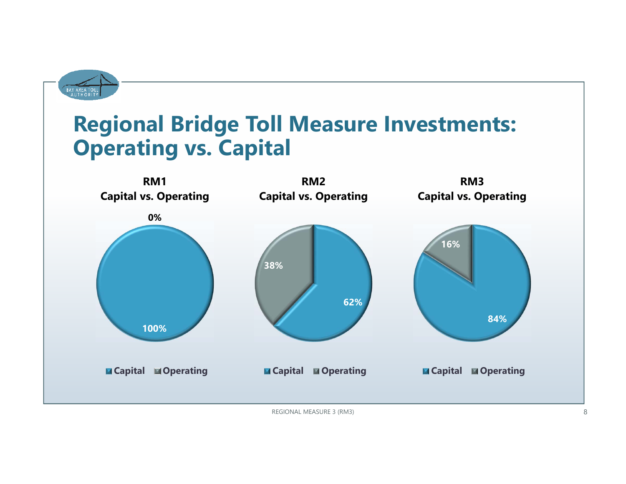

# **Regional Bridge Toll Measure Investments: Operating vs. Capital**

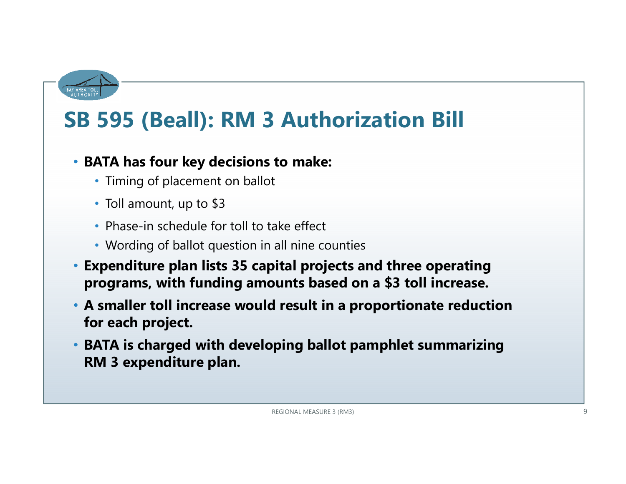

# **SB 595 (Beall): RM 3 Authorization Bill**

### • **BATA has four key decisions to make:**

- Timing of placement on ballot
- Toll amount, up to \$3
- Phase-in schedule for toll to take effect
- Wording of ballot question in all nine counties
- **Expenditure plan lists 35 capital projects and three operating programs, with funding amounts based on a \$3 toll increase.**
- **A smaller toll increase would result in a proportionate reduction for each project.**
- **BATA is charged with developing ballot pamphlet summarizing RM 3 expenditure plan.**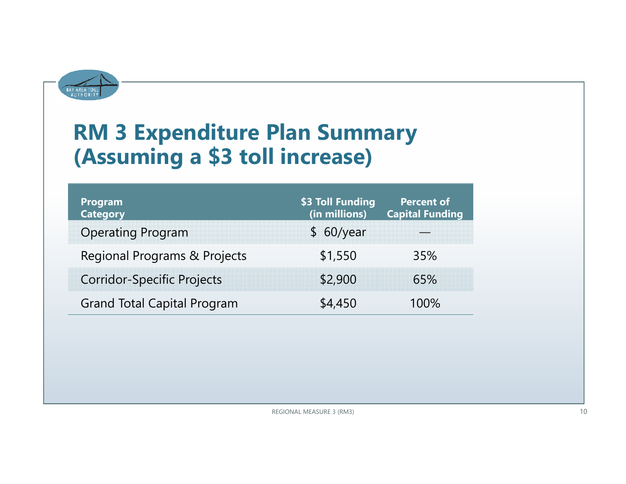

# **RM 3 Expenditure Plan Summary (Assuming a \$3 toll increase)**

| <b>Program</b><br><b>Category</b>  | \$3 Toll Funding<br>(in millions) | <b>Percent of</b><br><b>Capital Funding</b> |
|------------------------------------|-----------------------------------|---------------------------------------------|
| <b>Operating Program</b>           | \$60/year                         |                                             |
| Regional Programs & Projects       | \$1,550                           | 35%                                         |
| <b>Corridor-Specific Projects</b>  | \$2,900                           | 65%                                         |
| <b>Grand Total Capital Program</b> | \$4,450                           | 100%                                        |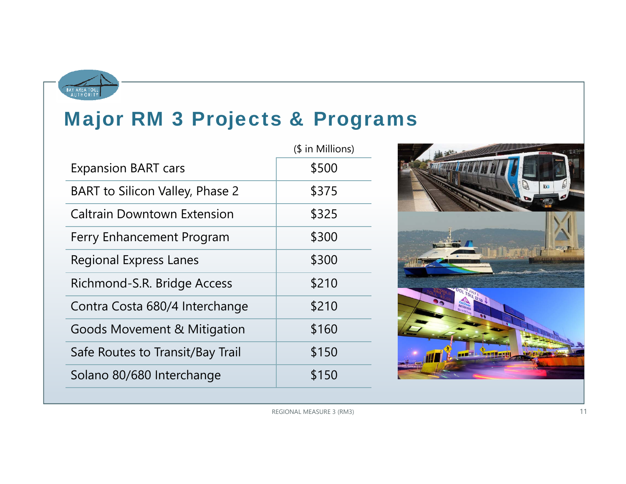

### Major RM 3 Projects & Programs

| (\$ in Millions) |
|------------------|
| \$500            |
| \$375            |
| \$325            |
| \$300            |
| \$300            |
| \$210            |
| \$210            |
| \$160            |
| \$150            |
| \$150            |
|                  |

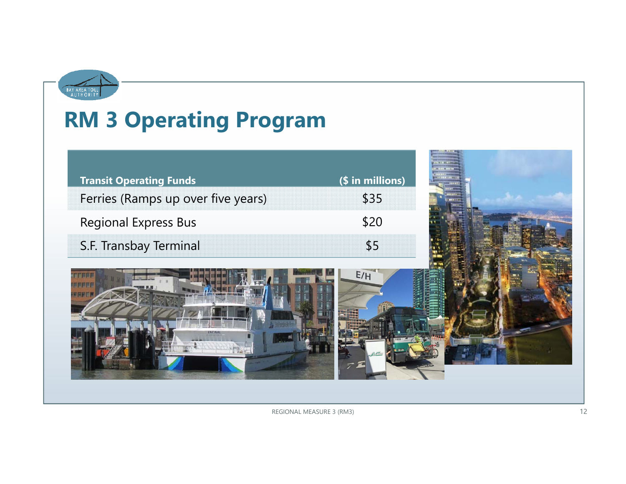

# **RM 3 Operating Program**

| <b>Transit Operating Funds</b>     | (\$ in millions) |  |
|------------------------------------|------------------|--|
| Ferries (Ramps up over five years) | \$35             |  |
| <b>Regional Express Bus</b>        | \$20             |  |
| S.F. Transbay Terminal             | \$5              |  |
|                                    | E/H              |  |

**MARKET**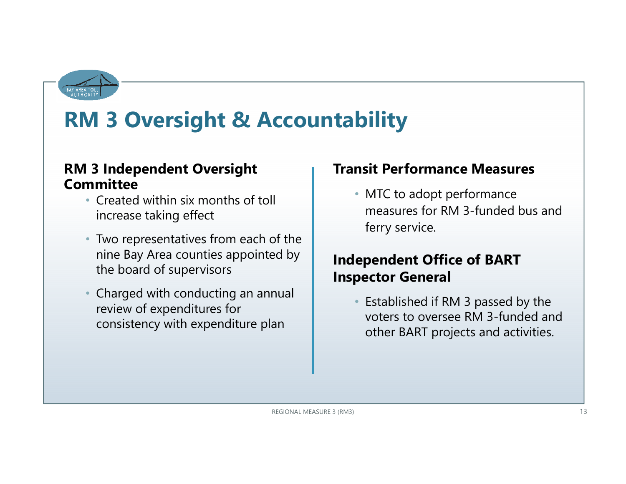

# **RM 3 Oversight & Accountability**

### **RM 3 Independent Oversight Committee**

- Created within six months of toll increase taking effect
- Two representatives from each of the nine Bay Area counties appointed by the board of supervisors
- • Charged with conducting an annual review of expenditures for consistency with expenditure plan

### **Transit Performance Measures**

• MTC to adopt performance measures for RM 3-funded bus and ferry service.

### **Independent Office of BART Inspector General**

• Established if RM 3 passed by the voters to oversee RM 3-funded and other BART projects and activities.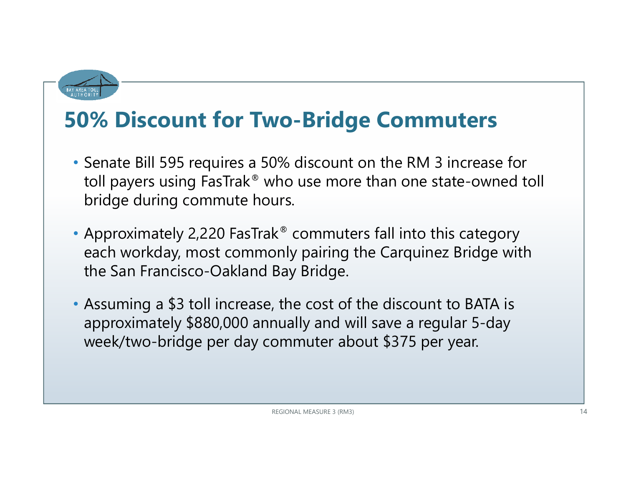

# **50% Discount for Two-Bridge Commuters**

- Senate Bill 595 requires a 50% discount on the RM 3 increase for toll payers using FasTrak ® who use more than one state-owned toll bridge during commute hours.
- Approximately 2,220 FasTrak ® commuters fall into this category each workday, most commonly pairing the Carquinez Bridge with the San Francisco-Oakland Bay Bridge.
- Assuming a \$3 toll increase, the cost of the discount to BATA is approximately \$880,000 annually and will save a regular 5-day week/two-bridge per day commuter about \$375 per year.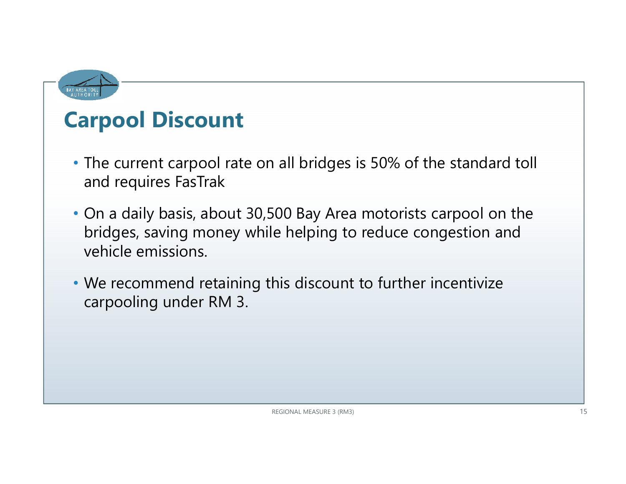

# **Carpool Discount**

- The current carpool rate on all bridges is 50% of the standard toll and requires FasTrak
- On a daily basis, about 30,500 Bay Area motorists carpool on the bridges, saving money while helping to reduce congestion and vehicle emissions.
- We recommend retaining this discount to further incentivize carpooling under RM 3.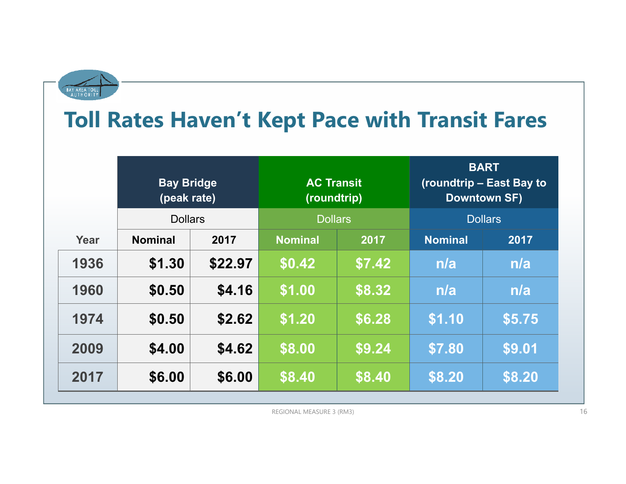

# **Toll Rates Haven't Kept Pace with Transit Fares**

|      | <b>Bay Bridge</b><br>(peak rate) |         | <b>AC Transit</b><br>(roundtrip) |        | <b>BART</b><br>(roundtrip – East Bay to<br><b>Downtown SF)</b> |        |
|------|----------------------------------|---------|----------------------------------|--------|----------------------------------------------------------------|--------|
|      | <b>Dollars</b>                   |         | <b>Dollars</b>                   |        | <b>Dollars</b>                                                 |        |
| Year | <b>Nominal</b>                   | 2017    | <b>Nominal</b>                   | 2017   | <b>Nominal</b>                                                 | 2017   |
| 1936 | \$1.30                           | \$22.97 | \$0.42                           | \$7.42 | n/a                                                            | n/a    |
| 1960 | \$0.50                           | \$4.16  | \$1.00                           | \$8.32 | n/a                                                            | n/a    |
| 1974 | \$0.50                           | \$2.62  | $\sqrt{51.20}$                   | \$6.28 | \$1.10                                                         | \$5.75 |
| 2009 | \$4.00                           | \$4.62  | \$8.00                           | \$9.24 | \$7.80                                                         | \$9.01 |
| 2017 | \$6.00                           | \$6.00  | \$8.40                           | \$8.40 | \$8.20                                                         | \$8.20 |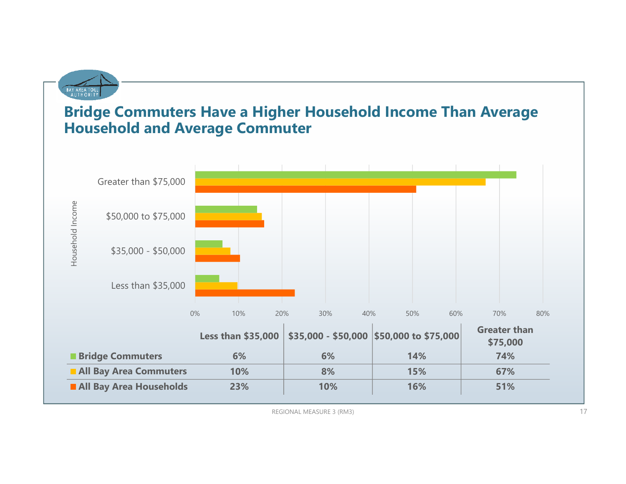

### **Bridge Commuters Have a Higher Household Income Than Average Household and Average Commuter**

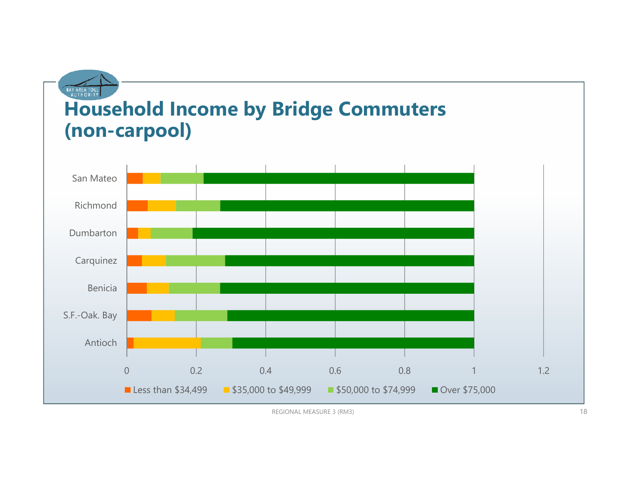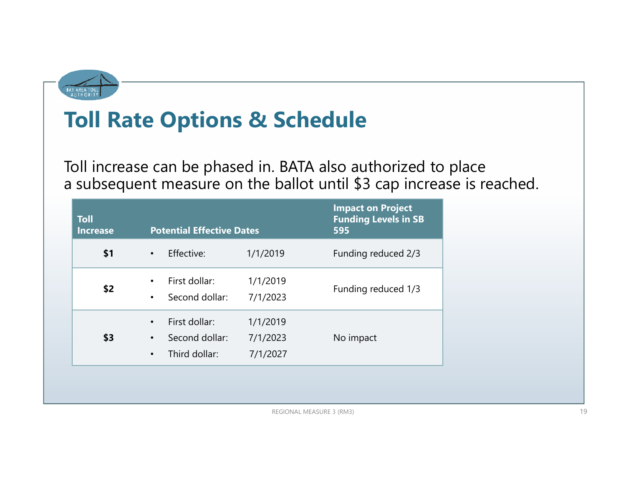

# **Toll Rate Options & Schedule**

Toll increase can be phased in. BATA also authorized to place a subsequent measure on the ballot until \$3 cap increase is reached.

| <b>Toll</b><br><b>Increase</b> | <b>Potential Effective Dates</b>                                                        |                                  | <b>Impact on Project</b><br><b>Funding Levels in SB</b><br>595 |
|--------------------------------|-----------------------------------------------------------------------------------------|----------------------------------|----------------------------------------------------------------|
| \$1                            | Effective:<br>$\bullet$                                                                 | 1/1/2019                         | Funding reduced 2/3                                            |
| \$2                            | First dollar:<br>$\bullet$<br>Second dollar:<br>$\bullet$                               | 1/1/2019<br>7/1/2023             | Funding reduced 1/3                                            |
| \$3                            | First dollar:<br>$\bullet$<br>Second dollar:<br>$\bullet$<br>Third dollar:<br>$\bullet$ | 1/1/2019<br>7/1/2023<br>7/1/2027 | No impact                                                      |
|                                |                                                                                         |                                  |                                                                |